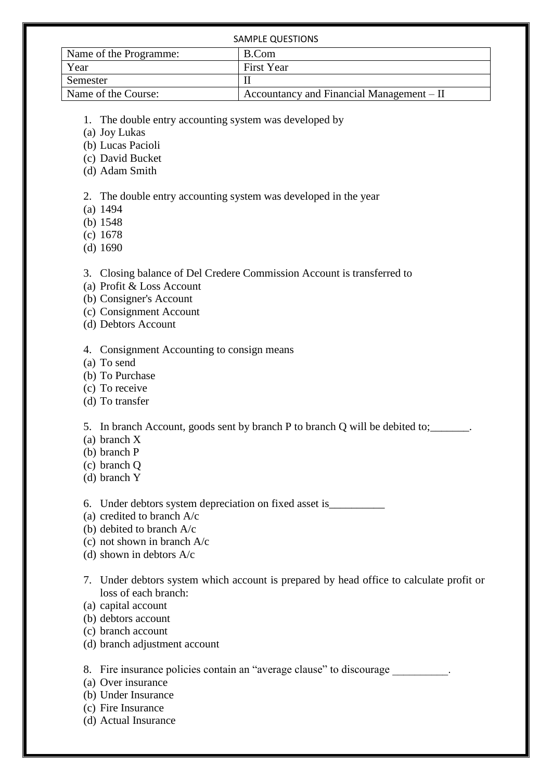| <b>SAMPLE QUESTIONS</b> |                                           |
|-------------------------|-------------------------------------------|
| Name of the Programme:  | B.Com                                     |
| Year                    | <b>First Year</b>                         |
| Semester                |                                           |
| Name of the Course:     | Accountancy and Financial Management – II |

- 1. The double entry accounting system was developed by
- (a) Joy Lukas
- (b) Lucas Pacioli
- (c) David Bucket
- (d) Adam Smith

2. The double entry accounting system was developed in the year

- (a) 1494
- (b) 1548
- (c) 1678
- (d) 1690

3. Closing balance of Del Credere Commission Account is transferred to

- (a) Profit & Loss Account
- (b) Consigner's Account
- (c) Consignment Account
- (d) Debtors Account

4. Consignment Accounting to consign means

- (a) To send
- (b) To Purchase
- (c) To receive
- (d) To transfer

5. In branch Account, goods sent by branch P to branch Q will be debited to;\_\_\_\_\_\_\_.

- (a) branch X
- (b) branch P
- (c) branch Q
- (d) branch Y

6. Under debtors system depreciation on fixed asset is\_\_\_\_\_\_\_\_\_\_

- (a) credited to branch A/c
- (b) debited to branch A/c
- (c) not shown in branch A/c
- (d) shown in debtors A/c
- 7. Under debtors system which account is prepared by head office to calculate profit or loss of each branch:
- (a) capital account
- (b) debtors account
- (c) branch account
- (d) branch adjustment account

8. Fire insurance policies contain an "average clause" to discourage  $\blacksquare$ 

- (a) Over insurance
- (b) Under Insurance
- (c) Fire Insurance
- (d) Actual Insurance